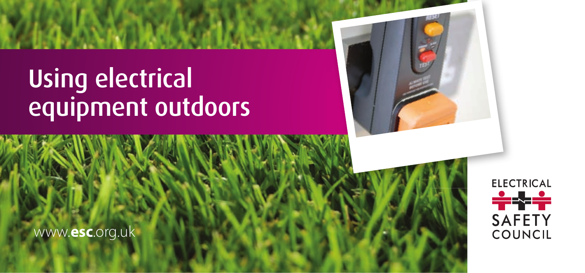# Using electrical equipment outdoors



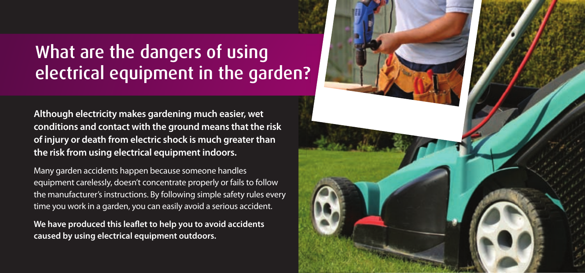## What are the dangers of using electrical equipment in the garden?

**Although electricity makes gardening much easier, wet conditions and contact with the ground means that the risk of injury or death from electric shock is much greater than the risk from using electrical equipment indoors.**

Many garden accidents happen because someone handles equipment carelessly, doesn't concentrate properly or fails to follow the manufacturer's instructions. By following simple safety rules every time you work in a garden, you can easily avoid a serious accident.

We have produced this leaflet to help you to avoid accidents **caused by using electrical equipment outdoors.**

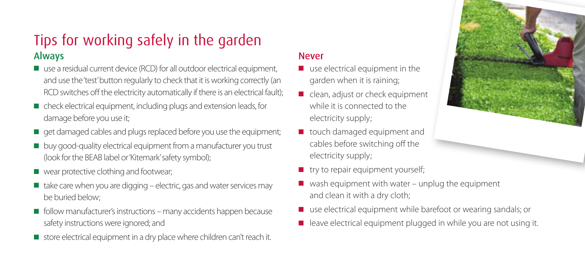

### Always Tips for working safely in the garden

- use a residual current device (RCD) for all outdoor electrical equipment, and use the 'test' button regularly to check that it is working correctly (an RCD switches off the electricity automatically if there is an electrical fault);
- check electrical equipment, including plugs and extension leads, for damage before you use it;
- get damaged cables and plugs replaced before you use the equipment;
- buy good-quality electrical equipment from a manufacturer you trust (look for the BEAB label or 'Kitemark' safety symbol);
- wear protective clothing and footwear;
- $\blacksquare$  take care when you are digging electric, gas and water services may be buried below;
- follow manufacturer's instructions many accidents happen because safety instructions were ignored; and
- store electrical equipment in a dry place where children can't reach it.

#### Never

- use electrical equipment in the garden when it is raining;
- clean, adjust or check equipment while it is connected to the electricity supply;
- touch damaged equipment and cables before switching off the electricity supply;
- try to repair equipment yourself;
- $\blacksquare$  wash equipment with water unplug the equipment and clean it with a dry cloth;
- use electrical equipment while barefoot or wearing sandals; or
- leave electrical equipment plugged in while you are not using it.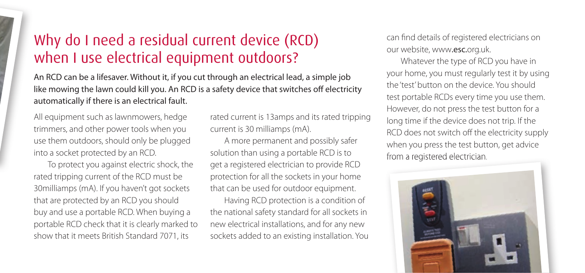## Why do I need a residual current device (RCD) when I use electrical equipment outdoors?

An RCD can be a lifesaver. Without it, if you cut through an electrical lead, a simple job like mowing the lawn could kill you. An RCD is a safety device that switches off electricity automatically if there is an electrical fault.

All equipment such as lawnmowers, hedge trimmers, and other power tools when you use them outdoors, should only be plugged into a socket protected by an RCD.

 To protect you against electric shock, the rated tripping current of the RCD must be 30milliamps (mA). If you haven't got sockets that are protected by an RCD you should buy and use a portable RCD. When buying a portable RCD check that it is clearly marked to show that it meets British Standard 7071, its

rated current is 13amps and its rated tripping current is 30 milliamps (mA).

 A more permanent and possibly safer solution than using a portable RCD is to get a registered electrician to provide RCD protection for all the sockets in your home that can be used for outdoor equipment.

 Having RCD protection is a condition of the national safety standard for all sockets in new electrical installations, and for any new sockets added to an existing installation. You can find details of registered electricians on our website, www.esc.org.uk.

 Whatever the type of RCD you have in your home, you must regularly test it by using the 'test' button on the device. You should test portable RCDs every time you use them. However, do not press the test button for a long time if the device does not trip. If the RCD does not switch off the electricity supply when you press the test button, get advice from a registered electrician.

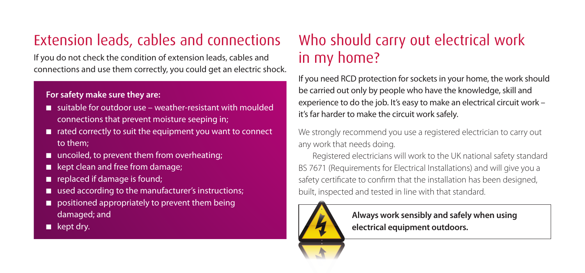## Extension leads, cables and connections Who should carry out electrical work

If you do not check the condition of extension leads, cables and  $\frac{1}{n}$  my home? connections and use them correctly, you could get an electric shock.

#### **For safety make sure they are:**

- suitable for outdoor use weather-resistant with moulded connections that prevent moisture seeping in;
- rated correctly to suit the equipment you want to connect to them;
- uncoiled, to prevent them from overheating;
- kept clean and free from damage;
- replaced if damage is found;
- used according to the manufacturer's instructions;
- positioned appropriately to prevent them being damaged; and
- kept dry.

If you need RCD protection for sockets in your home, the work should be carried out only by people who have the knowledge, skill and experience to do the job. It's easy to make an electrical circuit work – it's far harder to make the circuit work safely.

We strongly recommend you use a registered electrician to carry out any work that needs doing.

 Registered electricians will work to the UK national safety standard BS 7671 (Requirements for Electrical Installations) and will give you a safety certificate to confirm that the installation has been designed, built, inspected and tested in line with that standard.



**Always work sensibly and safely when using electrical equipment outdoors.**